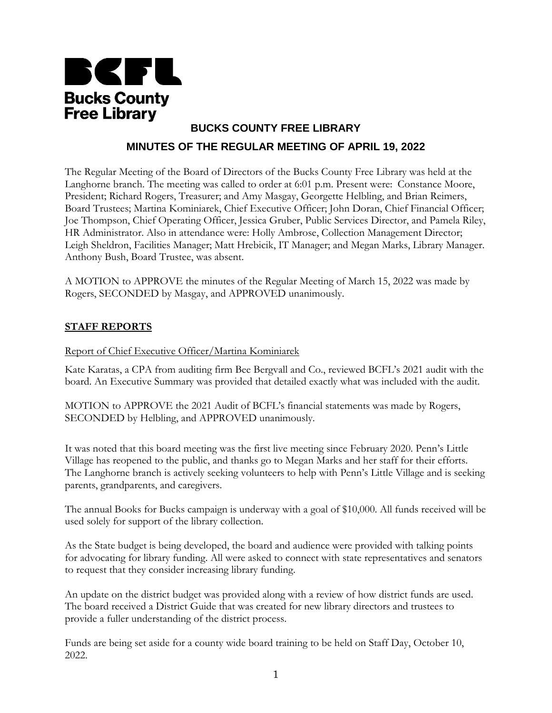

# **BUCKS COUNTY FREE LIBRARY MINUTES OF THE REGULAR MEETING OF APRIL 19, 2022**

The Regular Meeting of the Board of Directors of the Bucks County Free Library was held at the Langhorne branch. The meeting was called to order at 6:01 p.m. Present were: Constance Moore, President; Richard Rogers, Treasurer; and Amy Masgay, Georgette Helbling, and Brian Reimers, Board Trustees; Martina Kominiarek, Chief Executive Officer; John Doran, Chief Financial Officer; Joe Thompson, Chief Operating Officer, Jessica Gruber, Public Services Director, and Pamela Riley, HR Administrator. Also in attendance were: Holly Ambrose, Collection Management Director; Leigh Sheldron, Facilities Manager; Matt Hrebicik, IT Manager; and Megan Marks, Library Manager. Anthony Bush, Board Trustee, was absent.

A MOTION to APPROVE the minutes of the Regular Meeting of March 15, 2022 was made by Rogers, SECONDED by Masgay, and APPROVED unanimously.

# **STAFF REPORTS**

#### Report of Chief Executive Officer/Martina Kominiarek

Kate Karatas, a CPA from auditing firm Bee Bergvall and Co., reviewed BCFL's 2021 audit with the board. An Executive Summary was provided that detailed exactly what was included with the audit.

MOTION to APPROVE the 2021 Audit of BCFL's financial statements was made by Rogers, SECONDED by Helbling, and APPROVED unanimously.

It was noted that this board meeting was the first live meeting since February 2020. Penn's Little Village has reopened to the public, and thanks go to Megan Marks and her staff for their efforts. The Langhorne branch is actively seeking volunteers to help with Penn's Little Village and is seeking parents, grandparents, and caregivers.

The annual Books for Bucks campaign is underway with a goal of \$10,000. All funds received will be used solely for support of the library collection.

As the State budget is being developed, the board and audience were provided with talking points for advocating for library funding. All were asked to connect with state representatives and senators to request that they consider increasing library funding.

An update on the district budget was provided along with a review of how district funds are used. The board received a District Guide that was created for new library directors and trustees to provide a fuller understanding of the district process.

Funds are being set aside for a county wide board training to be held on Staff Day, October 10, 2022.